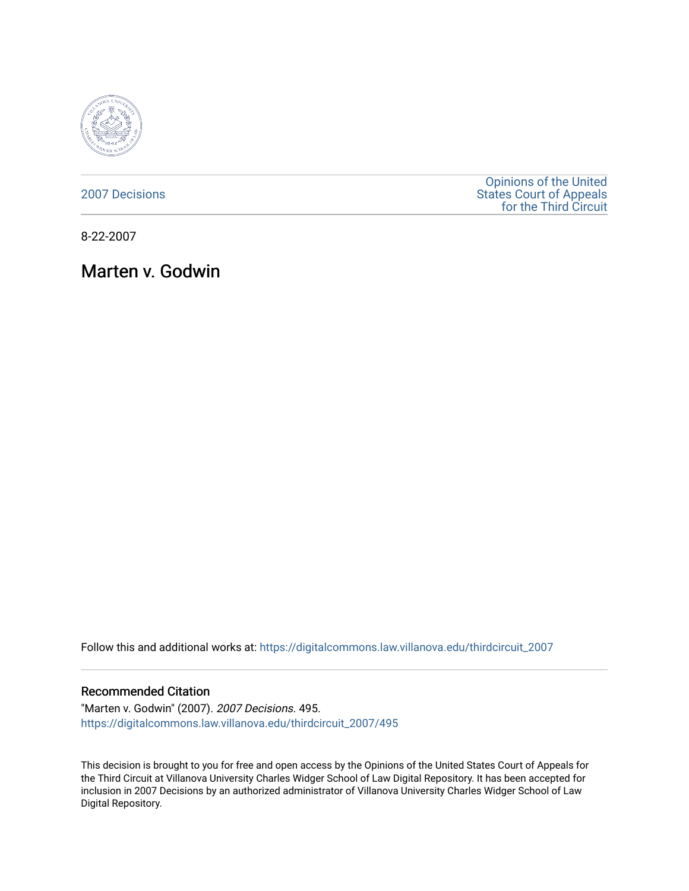

[2007 Decisions](https://digitalcommons.law.villanova.edu/thirdcircuit_2007)

[Opinions of the United](https://digitalcommons.law.villanova.edu/thirdcircuit)  [States Court of Appeals](https://digitalcommons.law.villanova.edu/thirdcircuit)  [for the Third Circuit](https://digitalcommons.law.villanova.edu/thirdcircuit) 

8-22-2007

Marten v. Godwin

Follow this and additional works at: [https://digitalcommons.law.villanova.edu/thirdcircuit\\_2007](https://digitalcommons.law.villanova.edu/thirdcircuit_2007?utm_source=digitalcommons.law.villanova.edu%2Fthirdcircuit_2007%2F495&utm_medium=PDF&utm_campaign=PDFCoverPages) 

#### Recommended Citation

"Marten v. Godwin" (2007). 2007 Decisions. 495. [https://digitalcommons.law.villanova.edu/thirdcircuit\\_2007/495](https://digitalcommons.law.villanova.edu/thirdcircuit_2007/495?utm_source=digitalcommons.law.villanova.edu%2Fthirdcircuit_2007%2F495&utm_medium=PDF&utm_campaign=PDFCoverPages)

This decision is brought to you for free and open access by the Opinions of the United States Court of Appeals for the Third Circuit at Villanova University Charles Widger School of Law Digital Repository. It has been accepted for inclusion in 2007 Decisions by an authorized administrator of Villanova University Charles Widger School of Law Digital Repository.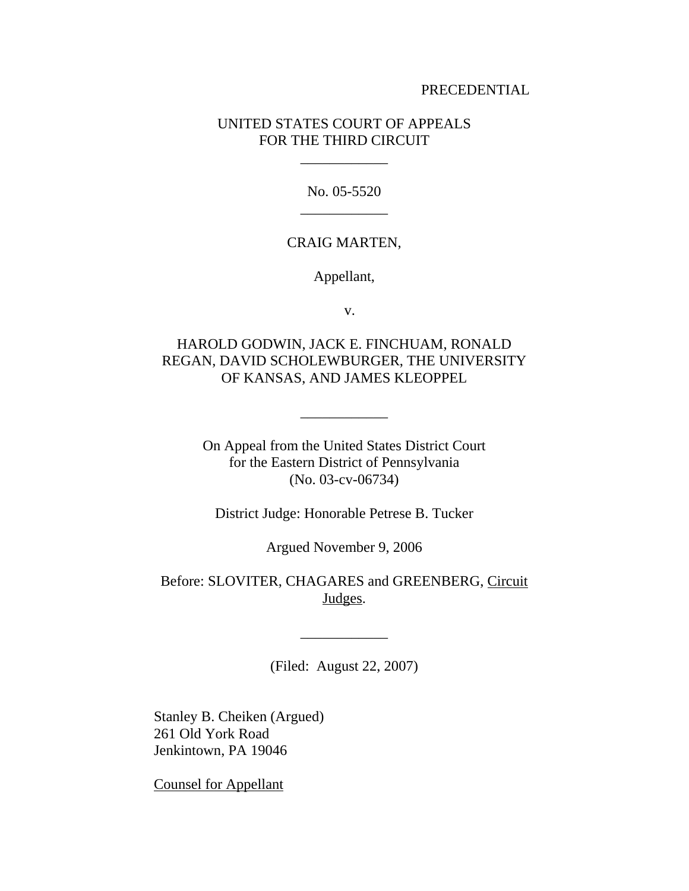## PRECEDENTIAL

# UNITED STATES COURT OF APPEALS FOR THE THIRD CIRCUIT

\_\_\_\_\_\_\_\_\_\_\_\_

No. 05-5520 \_\_\_\_\_\_\_\_\_\_\_\_

## CRAIG MARTEN,

Appellant,

v.

# HAROLD GODWIN, JACK E. FINCHUAM, RONALD REGAN, DAVID SCHOLEWBURGER, THE UNIVERSITY OF KANSAS, AND JAMES KLEOPPEL

On Appeal from the United States District Court for the Eastern District of Pennsylvania (No. 03-cv-06734)

\_\_\_\_\_\_\_\_\_\_\_\_

District Judge: Honorable Petrese B. Tucker

Argued November 9, 2006

Before: SLOVITER, CHAGARES and GREENBERG, Circuit Judges.

(Filed: August 22, 2007)

\_\_\_\_\_\_\_\_\_\_\_\_

Stanley B. Cheiken (Argued) 261 Old York Road Jenkintown, PA 19046

Counsel for Appellant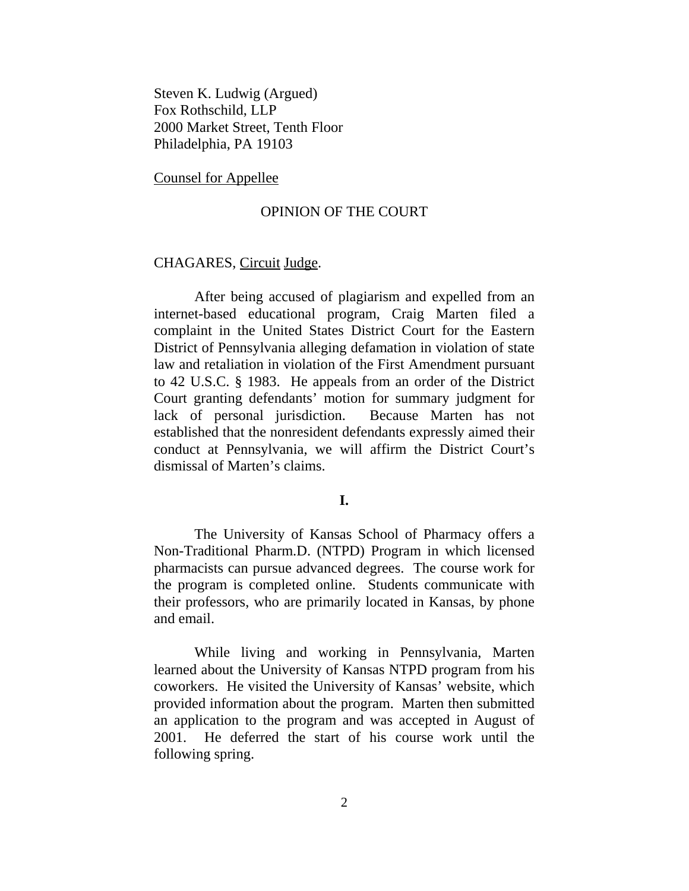Steven K. Ludwig (Argued) Fox Rothschild, LLP 2000 Market Street, Tenth Floor Philadelphia, PA 19103

Counsel for Appellee

## OPINION OF THE COURT

#### CHAGARES, Circuit Judge.

After being accused of plagiarism and expelled from an internet-based educational program, Craig Marten filed a complaint in the United States District Court for the Eastern District of Pennsylvania alleging defamation in violation of state law and retaliation in violation of the First Amendment pursuant to 42 U.S.C. § 1983. He appeals from an order of the District Court granting defendants' motion for summary judgment for lack of personal jurisdiction. Because Marten has not established that the nonresident defendants expressly aimed their conduct at Pennsylvania, we will affirm the District Court's dismissal of Marten's claims.

## **I.**

The University of Kansas School of Pharmacy offers a Non-Traditional Pharm.D. (NTPD) Program in which licensed pharmacists can pursue advanced degrees. The course work for the program is completed online. Students communicate with their professors, who are primarily located in Kansas, by phone and email.

While living and working in Pennsylvania, Marten learned about the University of Kansas NTPD program from his coworkers. He visited the University of Kansas' website, which provided information about the program. Marten then submitted an application to the program and was accepted in August of 2001. He deferred the start of his course work until the following spring.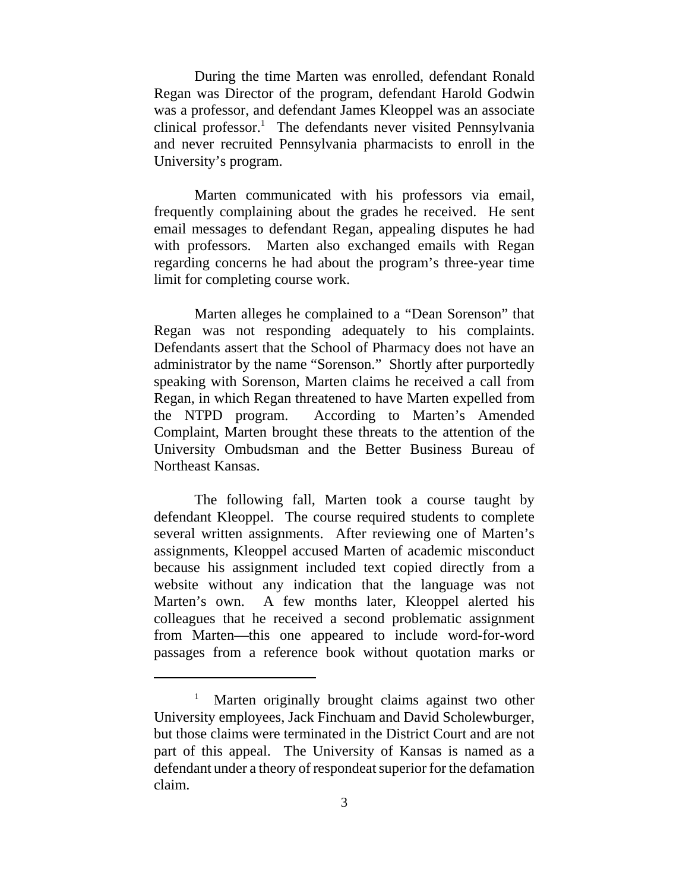During the time Marten was enrolled, defendant Ronald Regan was Director of the program, defendant Harold Godwin was a professor, and defendant James Kleoppel was an associate clinical professor.<sup>1</sup> The defendants never visited Pennsylvania and never recruited Pennsylvania pharmacists to enroll in the University's program.

Marten communicated with his professors via email, frequently complaining about the grades he received. He sent email messages to defendant Regan, appealing disputes he had with professors. Marten also exchanged emails with Regan regarding concerns he had about the program's three-year time limit for completing course work.

Marten alleges he complained to a "Dean Sorenson" that Regan was not responding adequately to his complaints. Defendants assert that the School of Pharmacy does not have an administrator by the name "Sorenson." Shortly after purportedly speaking with Sorenson, Marten claims he received a call from Regan, in which Regan threatened to have Marten expelled from the NTPD program. According to Marten's Amended Complaint, Marten brought these threats to the attention of the University Ombudsman and the Better Business Bureau of Northeast Kansas.

The following fall, Marten took a course taught by defendant Kleoppel. The course required students to complete several written assignments. After reviewing one of Marten's assignments, Kleoppel accused Marten of academic misconduct because his assignment included text copied directly from a website without any indication that the language was not Marten's own. A few months later, Kleoppel alerted his colleagues that he received a second problematic assignment from Marten—this one appeared to include word-for-word passages from a reference book without quotation marks or

<sup>1</sup> Marten originally brought claims against two other University employees, Jack Finchuam and David Scholewburger, but those claims were terminated in the District Court and are not part of this appeal. The University of Kansas is named as a defendant under a theory of respondeat superior for the defamation claim.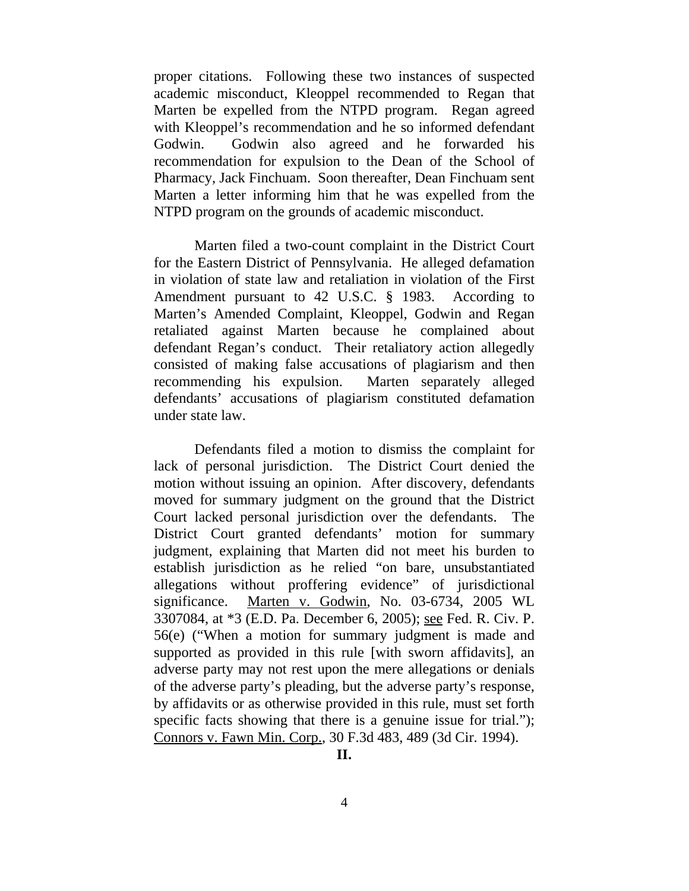proper citations. Following these two instances of suspected academic misconduct, Kleoppel recommended to Regan that Marten be expelled from the NTPD program. Regan agreed with Kleoppel's recommendation and he so informed defendant Godwin. Godwin also agreed and he forwarded his recommendation for expulsion to the Dean of the School of Pharmacy, Jack Finchuam. Soon thereafter, Dean Finchuam sent Marten a letter informing him that he was expelled from the NTPD program on the grounds of academic misconduct.

Marten filed a two-count complaint in the District Court for the Eastern District of Pennsylvania. He alleged defamation in violation of state law and retaliation in violation of the First Amendment pursuant to 42 U.S.C. § 1983. According to Marten's Amended Complaint, Kleoppel, Godwin and Regan retaliated against Marten because he complained about defendant Regan's conduct. Their retaliatory action allegedly consisted of making false accusations of plagiarism and then recommending his expulsion. Marten separately alleged defendants' accusations of plagiarism constituted defamation under state law.

Defendants filed a motion to dismiss the complaint for lack of personal jurisdiction. The District Court denied the motion without issuing an opinion. After discovery, defendants moved for summary judgment on the ground that the District Court lacked personal jurisdiction over the defendants. The District Court granted defendants' motion for summary judgment, explaining that Marten did not meet his burden to establish jurisdiction as he relied "on bare, unsubstantiated allegations without proffering evidence" of jurisdictional significance. Marten v. Godwin, No. 03-6734, 2005 WL 3307084, at \*3 (E.D. Pa. December 6, 2005); see Fed. R. Civ. P. 56(e) ("When a motion for summary judgment is made and supported as provided in this rule [with sworn affidavits], an adverse party may not rest upon the mere allegations or denials of the adverse party's pleading, but the adverse party's response, by affidavits or as otherwise provided in this rule, must set forth specific facts showing that there is a genuine issue for trial."); Connors v. Fawn Min. Corp., 30 F.3d 483, 489 (3d Cir. 1994).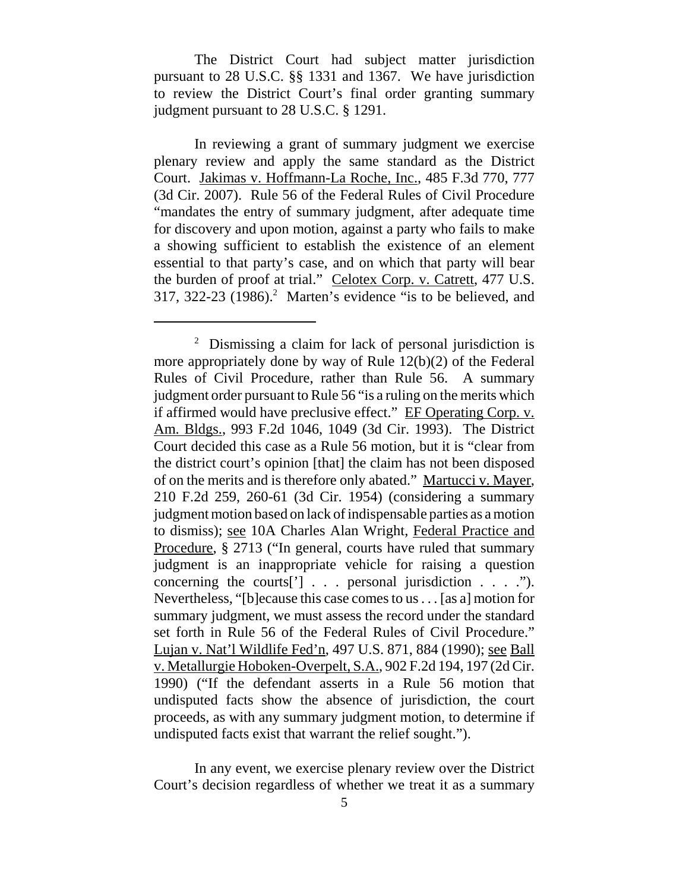The District Court had subject matter jurisdiction pursuant to 28 U.S.C. §§ 1331 and 1367. We have jurisdiction to review the District Court's final order granting summary judgment pursuant to 28 U.S.C. § 1291.

In reviewing a grant of summary judgment we exercise plenary review and apply the same standard as the District Court. Jakimas v. Hoffmann-La Roche, Inc., 485 F.3d 770, 777 (3d Cir. 2007). Rule 56 of the Federal Rules of Civil Procedure "mandates the entry of summary judgment, after adequate time for discovery and upon motion, against a party who fails to make a showing sufficient to establish the existence of an element essential to that party's case, and on which that party will bear the burden of proof at trial." Celotex Corp. v. Catrett, 477 U.S.  $317, 322-23$  (1986).<sup>2</sup> Marten's evidence "is to be believed, and

In any event, we exercise plenary review over the District Court's decision regardless of whether we treat it as a summary

<sup>&</sup>lt;sup>2</sup> Dismissing a claim for lack of personal jurisdiction is more appropriately done by way of Rule 12(b)(2) of the Federal Rules of Civil Procedure, rather than Rule 56. A summary judgment order pursuant to Rule 56 "is a ruling on the merits which if affirmed would have preclusive effect." EF Operating Corp. v. Am. Bldgs., 993 F.2d 1046, 1049 (3d Cir. 1993). The District Court decided this case as a Rule 56 motion, but it is "clear from the district court's opinion [that] the claim has not been disposed of on the merits and is therefore only abated." Martucci v. Mayer, 210 F.2d 259, 260-61 (3d Cir. 1954) (considering a summary judgment motion based on lack of indispensable parties as a motion to dismiss); see 10A Charles Alan Wright, Federal Practice and Procedure, § 2713 ("In general, courts have ruled that summary judgment is an inappropriate vehicle for raising a question concerning the courts['] . . . personal jurisdiction . . . ."). Nevertheless, "[b]ecause this case comes to us . . . [as a] motion for summary judgment, we must assess the record under the standard set forth in Rule 56 of the Federal Rules of Civil Procedure." Lujan v. Nat'l Wildlife Fed'n, 497 U.S. 871, 884 (1990); see Ball v. Metallurgie Hoboken-Overpelt, S.A., 902 F.2d 194, 197 (2d Cir. 1990) ("If the defendant asserts in a Rule 56 motion that undisputed facts show the absence of jurisdiction, the court proceeds, as with any summary judgment motion, to determine if undisputed facts exist that warrant the relief sought.").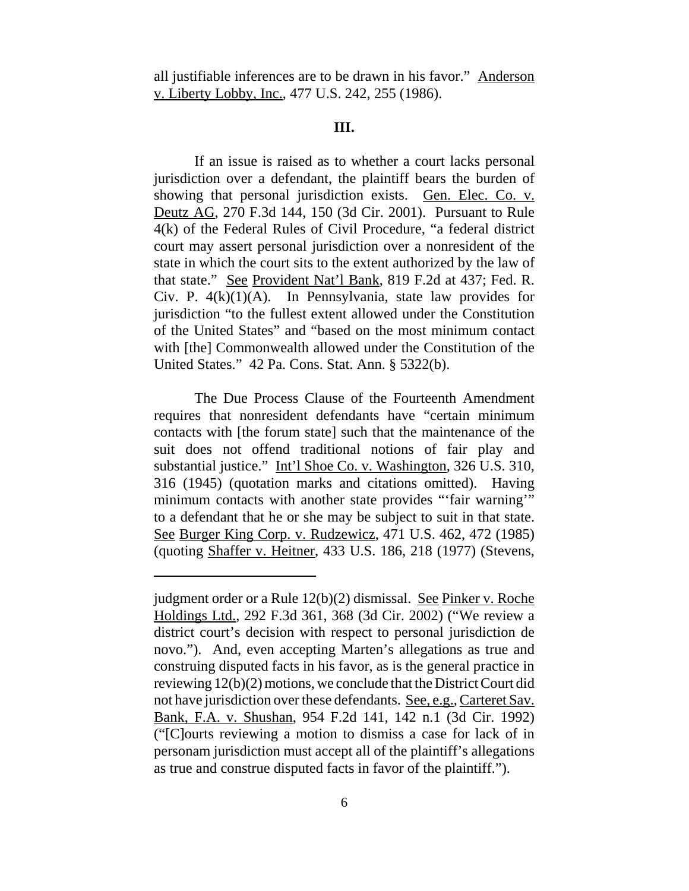all justifiable inferences are to be drawn in his favor." Anderson v. Liberty Lobby, Inc., 477 U.S. 242, 255 (1986).

## **III.**

If an issue is raised as to whether a court lacks personal jurisdiction over a defendant, the plaintiff bears the burden of showing that personal jurisdiction exists. Gen. Elec. Co. v. Deutz AG, 270 F.3d 144, 150 (3d Cir. 2001). Pursuant to Rule 4(k) of the Federal Rules of Civil Procedure, "a federal district court may assert personal jurisdiction over a nonresident of the state in which the court sits to the extent authorized by the law of that state." See Provident Nat'l Bank, 819 F.2d at 437; Fed. R. Civ. P.  $4(k)(1)(A)$ . In Pennsylvania, state law provides for jurisdiction "to the fullest extent allowed under the Constitution of the United States" and "based on the most minimum contact with [the] Commonwealth allowed under the Constitution of the United States." 42 Pa. Cons. Stat. Ann. § 5322(b).

The Due Process Clause of the Fourteenth Amendment requires that nonresident defendants have "certain minimum contacts with [the forum state] such that the maintenance of the suit does not offend traditional notions of fair play and substantial justice." Int'l Shoe Co. v. Washington, 326 U.S. 310, 316 (1945) (quotation marks and citations omitted). Having minimum contacts with another state provides "'fair warning'" to a defendant that he or she may be subject to suit in that state. See Burger King Corp. v. Rudzewicz, 471 U.S. 462, 472 (1985) (quoting Shaffer v. Heitner, 433 U.S. 186, 218 (1977) (Stevens,

judgment order or a Rule 12(b)(2) dismissal. See Pinker v. Roche Holdings Ltd., 292 F.3d 361, 368 (3d Cir. 2002) ("We review a district court's decision with respect to personal jurisdiction de novo."). And, even accepting Marten's allegations as true and construing disputed facts in his favor, as is the general practice in reviewing 12(b)(2) motions, we conclude that the District Court did not have jurisdiction over these defendants. See, e.g., Carteret Sav. Bank, F.A. v. Shushan, 954 F.2d 141, 142 n.1 (3d Cir. 1992) ("[C]ourts reviewing a motion to dismiss a case for lack of in personam jurisdiction must accept all of the plaintiff's allegations as true and construe disputed facts in favor of the plaintiff.").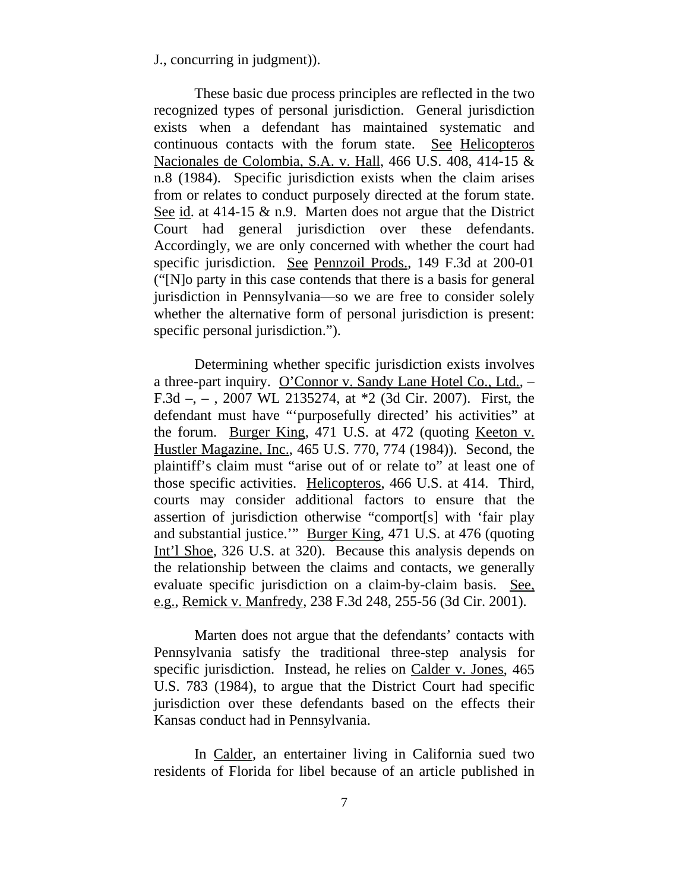J., concurring in judgment)).

These basic due process principles are reflected in the two recognized types of personal jurisdiction. General jurisdiction exists when a defendant has maintained systematic and continuous contacts with the forum state. See Helicopteros Nacionales de Colombia, S.A. v. Hall, 466 U.S. 408, 414-15 & n.8 (1984). Specific jurisdiction exists when the claim arises from or relates to conduct purposely directed at the forum state. See id. at 414-15 & n.9. Marten does not argue that the District Court had general jurisdiction over these defendants. Accordingly, we are only concerned with whether the court had specific jurisdiction. See Pennzoil Prods., 149 F.3d at 200-01 ("[N]o party in this case contends that there is a basis for general jurisdiction in Pennsylvania—so we are free to consider solely whether the alternative form of personal jurisdiction is present: specific personal jurisdiction.").

Determining whether specific jurisdiction exists involves a three-part inquiry. O'Connor v. Sandy Lane Hotel Co., Ltd., – F.3d –, – , 2007 WL 2135274, at \*2 (3d Cir. 2007). First, the defendant must have "'purposefully directed' his activities" at the forum. Burger King, 471 U.S. at 472 (quoting Keeton v. Hustler Magazine, Inc., 465 U.S. 770, 774 (1984)). Second, the plaintiff's claim must "arise out of or relate to" at least one of those specific activities. Helicopteros, 466 U.S. at 414. Third, courts may consider additional factors to ensure that the assertion of jurisdiction otherwise "comport[s] with 'fair play and substantial justice.'" Burger King, 471 U.S. at 476 (quoting Int'l Shoe, 326 U.S. at 320). Because this analysis depends on the relationship between the claims and contacts, we generally evaluate specific jurisdiction on a claim-by-claim basis. See, e.g., Remick v. Manfredy, 238 F.3d 248, 255-56 (3d Cir. 2001).

Marten does not argue that the defendants' contacts with Pennsylvania satisfy the traditional three-step analysis for specific jurisdiction. Instead, he relies on Calder v. Jones, 465 U.S. 783 (1984), to argue that the District Court had specific jurisdiction over these defendants based on the effects their Kansas conduct had in Pennsylvania.

In Calder, an entertainer living in California sued two residents of Florida for libel because of an article published in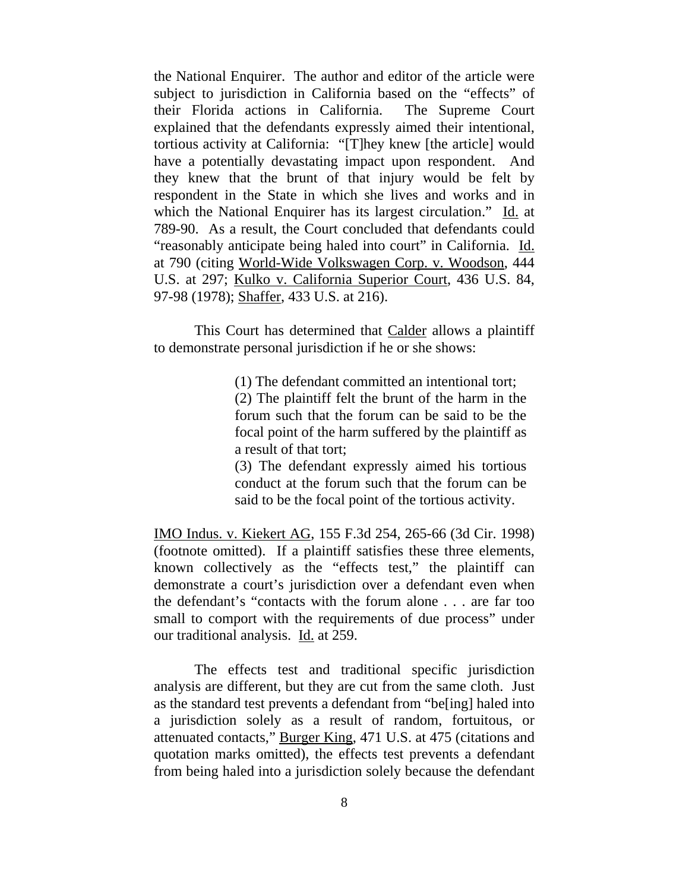the National Enquirer. The author and editor of the article were subject to jurisdiction in California based on the "effects" of their Florida actions in California. The Supreme Court explained that the defendants expressly aimed their intentional, tortious activity at California: "[T]hey knew [the article] would have a potentially devastating impact upon respondent. And they knew that the brunt of that injury would be felt by respondent in the State in which she lives and works and in which the National Enquirer has its largest circulation." Id. at 789-90. As a result, the Court concluded that defendants could "reasonably anticipate being haled into court" in California. Id. at 790 (citing World-Wide Volkswagen Corp. v. Woodson, 444 U.S. at 297; Kulko v. California Superior Court, 436 U.S. 84, 97-98 (1978); Shaffer, 433 U.S. at 216).

This Court has determined that Calder allows a plaintiff to demonstrate personal jurisdiction if he or she shows:

(1) The defendant committed an intentional tort;

(2) The plaintiff felt the brunt of the harm in the forum such that the forum can be said to be the focal point of the harm suffered by the plaintiff as a result of that tort;

(3) The defendant expressly aimed his tortious conduct at the forum such that the forum can be said to be the focal point of the tortious activity.

IMO Indus. v. Kiekert AG, 155 F.3d 254, 265-66 (3d Cir. 1998) (footnote omitted). If a plaintiff satisfies these three elements, known collectively as the "effects test," the plaintiff can demonstrate a court's jurisdiction over a defendant even when the defendant's "contacts with the forum alone . . . are far too small to comport with the requirements of due process" under our traditional analysis. Id. at 259.

The effects test and traditional specific jurisdiction analysis are different, but they are cut from the same cloth. Just as the standard test prevents a defendant from "be[ing] haled into a jurisdiction solely as a result of random, fortuitous, or attenuated contacts," Burger King, 471 U.S. at 475 (citations and quotation marks omitted), the effects test prevents a defendant from being haled into a jurisdiction solely because the defendant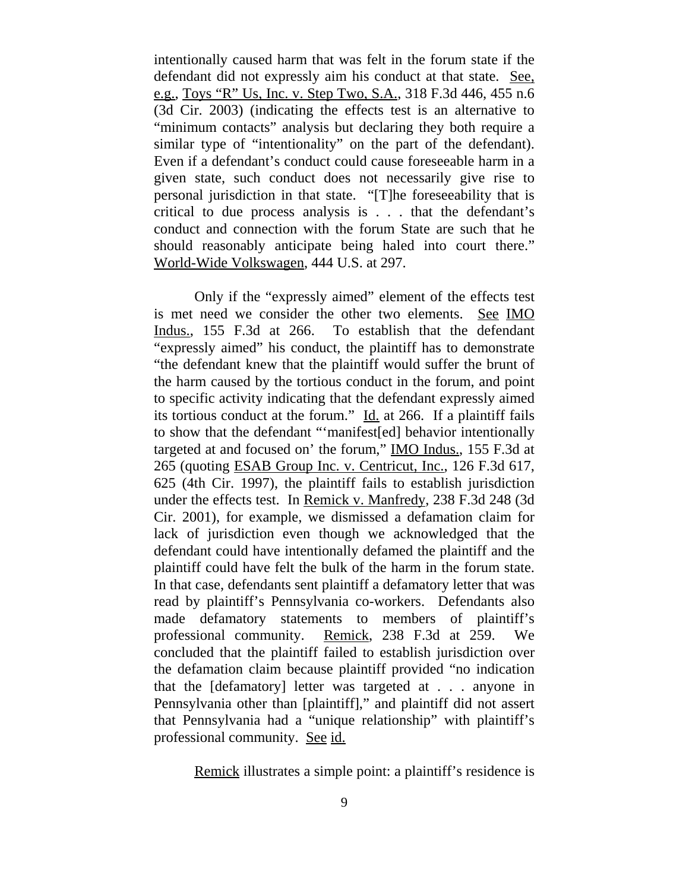intentionally caused harm that was felt in the forum state if the defendant did not expressly aim his conduct at that state. See, e.g., Toys "R" Us, Inc. v. Step Two, S.A., 318 F.3d 446, 455 n.6 (3d Cir. 2003) (indicating the effects test is an alternative to "minimum contacts" analysis but declaring they both require a similar type of "intentionality" on the part of the defendant). Even if a defendant's conduct could cause foreseeable harm in a given state, such conduct does not necessarily give rise to personal jurisdiction in that state. "[T]he foreseeability that is critical to due process analysis is . . . that the defendant's conduct and connection with the forum State are such that he should reasonably anticipate being haled into court there." World-Wide Volkswagen, 444 U.S. at 297.

Only if the "expressly aimed" element of the effects test is met need we consider the other two elements. See IMO Indus., 155 F.3d at 266. To establish that the defendant "expressly aimed" his conduct, the plaintiff has to demonstrate "the defendant knew that the plaintiff would suffer the brunt of the harm caused by the tortious conduct in the forum, and point to specific activity indicating that the defendant expressly aimed its tortious conduct at the forum."  $\underline{Id}$  at 266. If a plaintiff fails to show that the defendant "'manifest[ed] behavior intentionally targeted at and focused on' the forum," IMO Indus., 155 F.3d at 265 (quoting ESAB Group Inc. v. Centricut, Inc., 126 F.3d 617, 625 (4th Cir. 1997), the plaintiff fails to establish jurisdiction under the effects test. In Remick v. Manfredy, 238 F.3d 248 (3d Cir. 2001), for example, we dismissed a defamation claim for lack of jurisdiction even though we acknowledged that the defendant could have intentionally defamed the plaintiff and the plaintiff could have felt the bulk of the harm in the forum state. In that case, defendants sent plaintiff a defamatory letter that was read by plaintiff's Pennsylvania co-workers. Defendants also made defamatory statements to members of plaintiff's professional community. Remick, 238 F.3d at 259. We concluded that the plaintiff failed to establish jurisdiction over the defamation claim because plaintiff provided "no indication that the [defamatory] letter was targeted at . . . anyone in Pennsylvania other than [plaintiff]," and plaintiff did not assert that Pennsylvania had a "unique relationship" with plaintiff's professional community. See id.

Remick illustrates a simple point: a plaintiff's residence is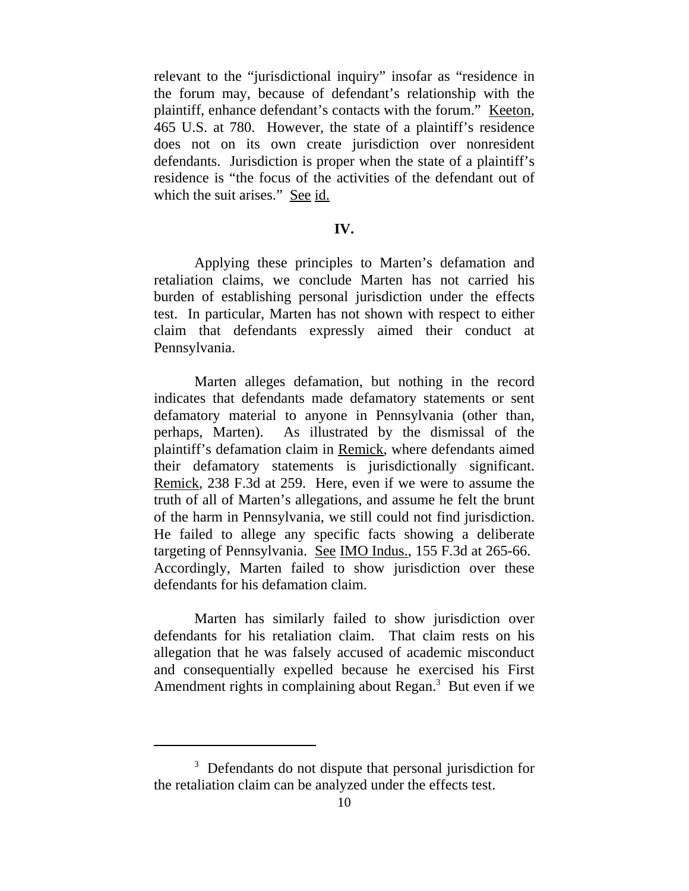relevant to the "jurisdictional inquiry" insofar as "residence in the forum may, because of defendant's relationship with the plaintiff, enhance defendant's contacts with the forum." Keeton, 465 U.S. at 780. However, the state of a plaintiff's residence does not on its own create jurisdiction over nonresident defendants. Jurisdiction is proper when the state of a plaintiff's residence is "the focus of the activities of the defendant out of which the suit arises." See id.

#### **IV.**

Applying these principles to Marten's defamation and retaliation claims, we conclude Marten has not carried his burden of establishing personal jurisdiction under the effects test. In particular, Marten has not shown with respect to either claim that defendants expressly aimed their conduct at Pennsylvania.

Marten alleges defamation, but nothing in the record indicates that defendants made defamatory statements or sent defamatory material to anyone in Pennsylvania (other than, perhaps, Marten). As illustrated by the dismissal of the plaintiff's defamation claim in Remick, where defendants aimed their defamatory statements is jurisdictionally significant. Remick, 238 F.3d at 259. Here, even if we were to assume the truth of all of Marten's allegations, and assume he felt the brunt of the harm in Pennsylvania, we still could not find jurisdiction. He failed to allege any specific facts showing a deliberate targeting of Pennsylvania. See IMO Indus., 155 F.3d at 265-66. Accordingly, Marten failed to show jurisdiction over these defendants for his defamation claim.

Marten has similarly failed to show jurisdiction over defendants for his retaliation claim. That claim rests on his allegation that he was falsely accused of academic misconduct and consequentially expelled because he exercised his First Amendment rights in complaining about Regan.<sup>3</sup> But even if we

<sup>&</sup>lt;sup>3</sup> Defendants do not dispute that personal jurisdiction for the retaliation claim can be analyzed under the effects test.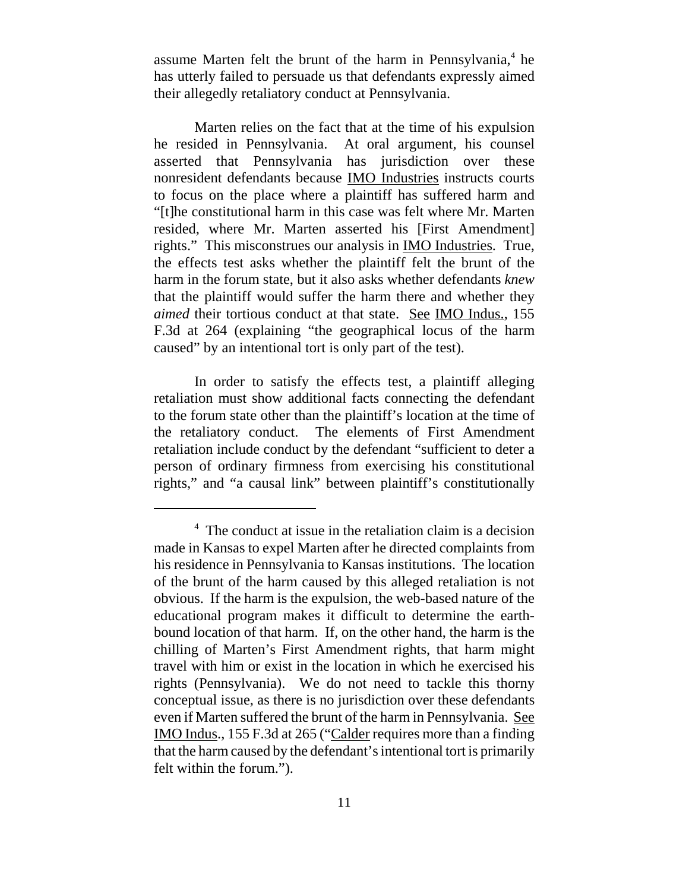assume Marten felt the brunt of the harm in Pennsylvania,<sup>4</sup> he has utterly failed to persuade us that defendants expressly aimed their allegedly retaliatory conduct at Pennsylvania.

Marten relies on the fact that at the time of his expulsion he resided in Pennsylvania. At oral argument, his counsel asserted that Pennsylvania has jurisdiction over these nonresident defendants because IMO Industries instructs courts to focus on the place where a plaintiff has suffered harm and "[t]he constitutional harm in this case was felt where Mr. Marten resided, where Mr. Marten asserted his [First Amendment] rights." This misconstrues our analysis in IMO Industries. True, the effects test asks whether the plaintiff felt the brunt of the harm in the forum state, but it also asks whether defendants *knew* that the plaintiff would suffer the harm there and whether they *aimed* their tortious conduct at that state. See IMO Indus., 155 F.3d at 264 (explaining "the geographical locus of the harm caused" by an intentional tort is only part of the test).

In order to satisfy the effects test, a plaintiff alleging retaliation must show additional facts connecting the defendant to the forum state other than the plaintiff's location at the time of the retaliatory conduct. The elements of First Amendment retaliation include conduct by the defendant "sufficient to deter a person of ordinary firmness from exercising his constitutional rights," and "a causal link" between plaintiff's constitutionally

<sup>&</sup>lt;sup>4</sup> The conduct at issue in the retaliation claim is a decision made in Kansas to expel Marten after he directed complaints from his residence in Pennsylvania to Kansas institutions. The location of the brunt of the harm caused by this alleged retaliation is not obvious. If the harm is the expulsion, the web-based nature of the educational program makes it difficult to determine the earthbound location of that harm. If, on the other hand, the harm is the chilling of Marten's First Amendment rights, that harm might travel with him or exist in the location in which he exercised his rights (Pennsylvania). We do not need to tackle this thorny conceptual issue, as there is no jurisdiction over these defendants even if Marten suffered the brunt of the harm in Pennsylvania. See IMO Indus., 155 F.3d at 265 ("Calder requires more than a finding that the harm caused by the defendant's intentional tort is primarily felt within the forum.").